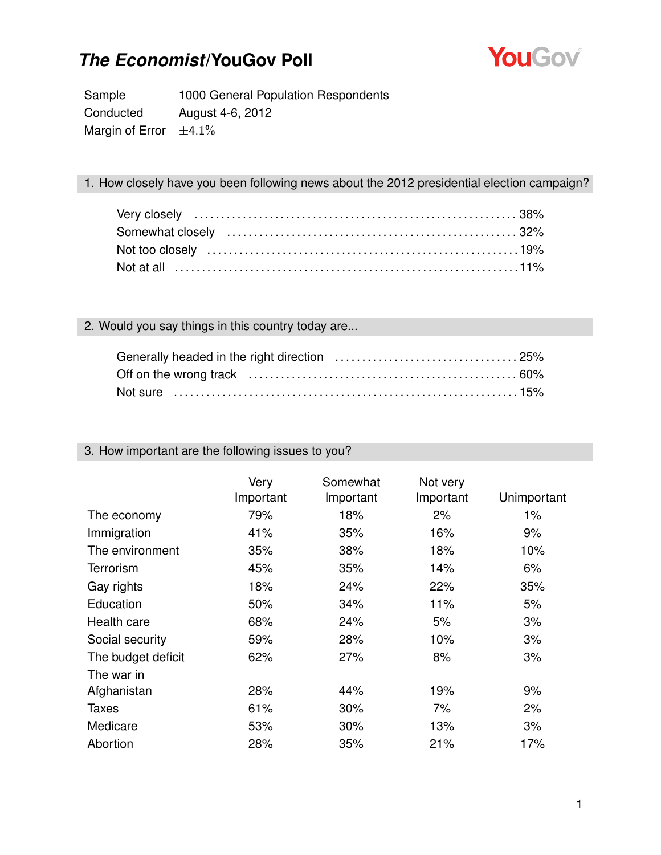

Sample 1000 General Population Respondents Conducted August 4-6, 2012 Margin of Error  $\pm 4.1\%$ 

#### 1. How closely have you been following news about the 2012 presidential election campaign?

#### 2. Would you say things in this country today are...

| Not sure ……………………………………………………………………15% |  |
|----------------------------------------|--|

#### 3. How important are the following issues to you?

|                    | Very<br>Important | Somewhat<br>Important | Not very<br>Important | Unimportant |
|--------------------|-------------------|-----------------------|-----------------------|-------------|
| The economy        | 79%               | 18%                   | 2%                    | 1%          |
| Immigration        | 41%               | 35%                   | 16%                   | 9%          |
| The environment    | 35%               | 38%                   | 18%                   | 10%         |
| <b>Terrorism</b>   | 45%               | 35%                   | 14%                   | 6%          |
| Gay rights         | 18%               | 24%                   | 22%                   | 35%         |
| Education          | 50%               | 34%                   | 11%                   | 5%          |
| Health care        | 68%               | 24%                   | 5%                    | 3%          |
| Social security    | 59%               | 28%                   | 10%                   | 3%          |
| The budget deficit | 62%               | 27%                   | 8%                    | 3%          |
| The war in         |                   |                       |                       |             |
| Afghanistan        | 28%               | 44%                   | 19%                   | 9%          |
| <b>Taxes</b>       | 61%               | 30%                   | 7%                    | 2%          |
| Medicare           | 53%               | 30%                   | 13%                   | 3%          |
| Abortion           | 28%               | 35%                   | 21%                   | 17%         |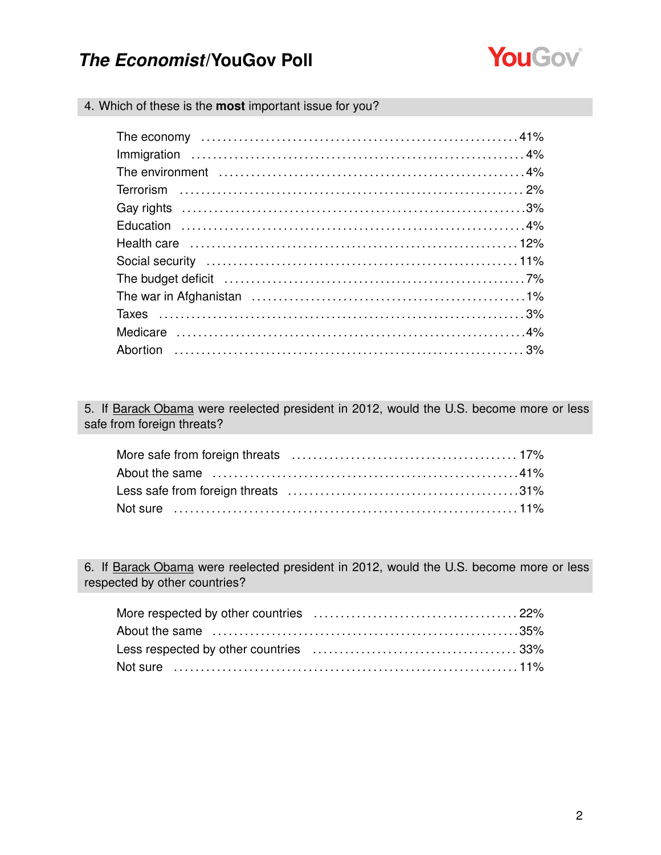

4. Which of these is the **most** important issue for you?

| The budget deficit (and according to the budget deficit (and according to the budget deficit (and according to the budget of $7\%$ |  |
|------------------------------------------------------------------------------------------------------------------------------------|--|
|                                                                                                                                    |  |
|                                                                                                                                    |  |
|                                                                                                                                    |  |
|                                                                                                                                    |  |

5. If Barack Obama were reelected president in 2012, would the U.S. become more or less safe from foreign threats?

6. If Barack Obama were reelected president in 2012, would the U.S. become more or less respected by other countries?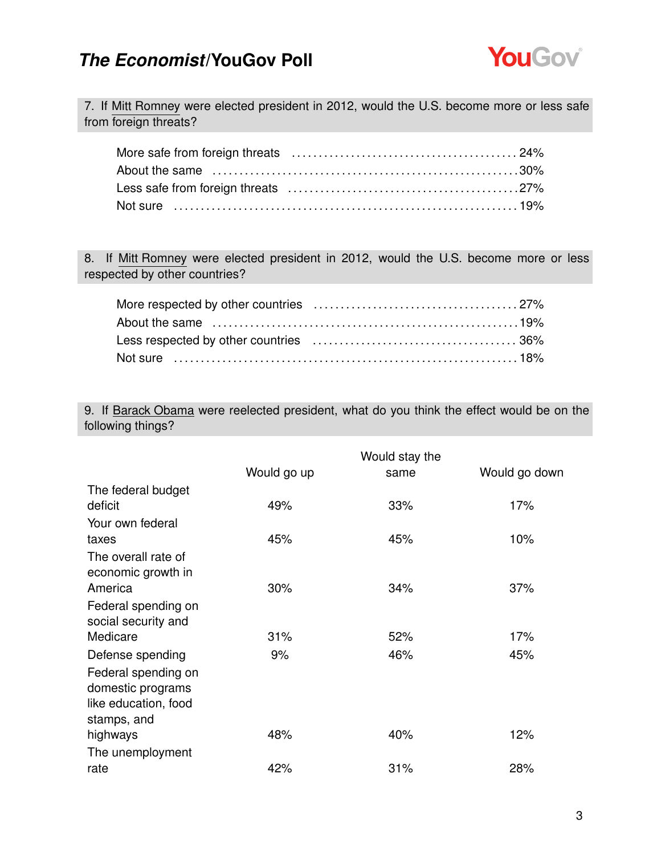

7. If Mitt Romney were elected president in 2012, would the U.S. become more or less safe from foreign threats?

8. If Mitt Romney were elected president in 2012, would the U.S. become more or less respected by other countries?

9. If Barack Obama were reelected president, what do you think the effect would be on the following things?

|                      | Would stay the |      |               |
|----------------------|----------------|------|---------------|
|                      | Would go up    | same | Would go down |
| The federal budget   |                |      |               |
| deficit              | 49%            | 33%  | 17%           |
| Your own federal     |                |      |               |
| taxes                | 45%            | 45%  | 10%           |
| The overall rate of  |                |      |               |
| economic growth in   |                |      |               |
| America              | 30%            | 34%  | 37%           |
| Federal spending on  |                |      |               |
| social security and  |                |      |               |
| Medicare             | 31%            | 52%  | 17%           |
| Defense spending     | 9%             | 46%  | 45%           |
| Federal spending on  |                |      |               |
| domestic programs    |                |      |               |
| like education, food |                |      |               |
| stamps, and          |                |      |               |
| highways             | 48%            | 40%  | 12%           |
| The unemployment     |                |      |               |
| rate                 | 42%            | 31%  | 28%           |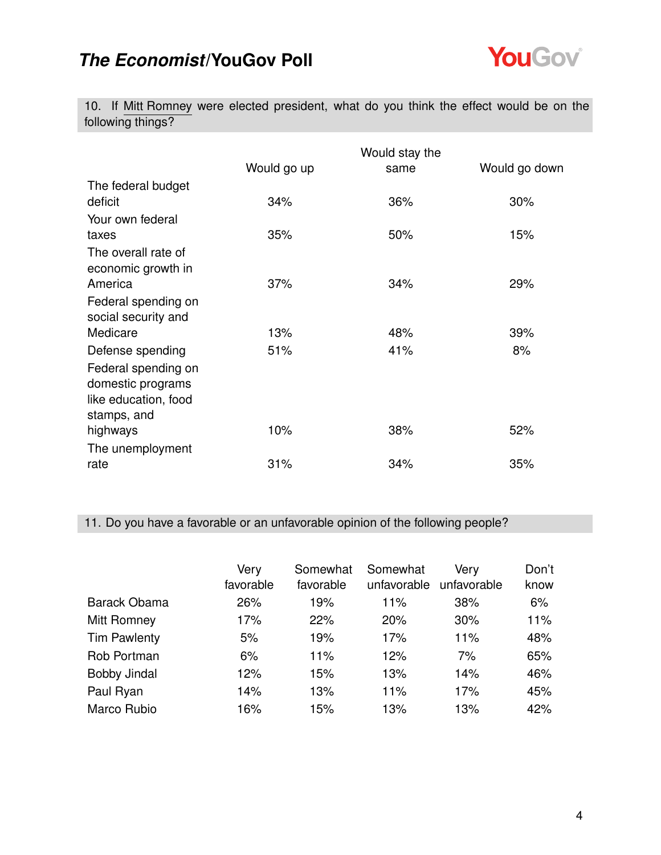

10. If Mitt Romney were elected president, what do you think the effect would be on the following things?

|                      | Would stay the |      |               |  |
|----------------------|----------------|------|---------------|--|
|                      | Would go up    | same | Would go down |  |
| The federal budget   |                |      |               |  |
| deficit              | 34%            | 36%  | 30%           |  |
| Your own federal     |                |      |               |  |
| taxes                | 35%            | 50%  | 15%           |  |
| The overall rate of  |                |      |               |  |
| economic growth in   |                |      |               |  |
| America              | 37%            | 34%  | 29%           |  |
| Federal spending on  |                |      |               |  |
| social security and  |                |      |               |  |
| Medicare             | 13%            | 48%  | 39%           |  |
| Defense spending     | 51%            | 41%  | 8%            |  |
| Federal spending on  |                |      |               |  |
| domestic programs    |                |      |               |  |
| like education, food |                |      |               |  |
| stamps, and          |                |      |               |  |
| highways             | 10%            | 38%  | 52%           |  |
| The unemployment     |                |      |               |  |
| rate                 | 31%            | 34%  | 35%           |  |

11. Do you have a favorable or an unfavorable opinion of the following people?

|                     | Very<br>favorable | Somewhat<br>favorable | Somewhat<br>unfavorable | Very<br>unfavorable | Don't<br>know |
|---------------------|-------------------|-----------------------|-------------------------|---------------------|---------------|
| Barack Obama        | 26%               | 19%                   | 11%                     | 38%                 | 6%            |
| Mitt Romney         | 17%               | 22%                   | 20%                     | 30%                 | 11%           |
| <b>Tim Pawlenty</b> | 5%                | 19%                   | 17%                     | 11%                 | 48%           |
| Rob Portman         | 6%                | 11%                   | 12%                     | 7%                  | 65%           |
| <b>Bobby Jindal</b> | 12%               | 15%                   | 13%                     | 14%                 | 46%           |
| Paul Ryan           | 14%               | 13%                   | 11%                     | 17%                 | 45%           |
| Marco Rubio         | 16%               | 15%                   | 13%                     | 13%                 | 42%           |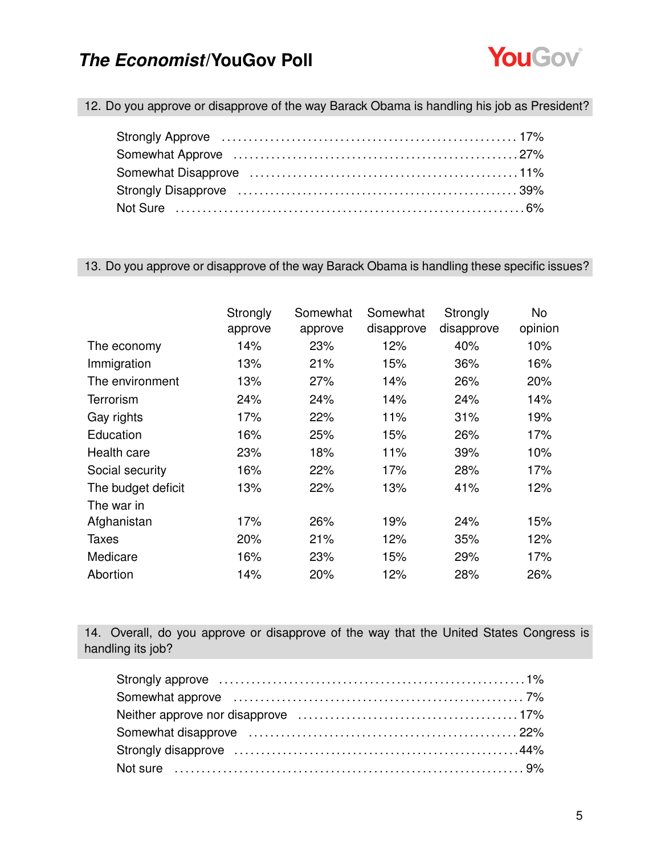

12. Do you approve or disapprove of the way Barack Obama is handling his job as President?

#### 13. Do you approve or disapprove of the way Barack Obama is handling these specific issues?

|                    | Strongly | Somewhat | Somewhat   | Strongly   | No      |
|--------------------|----------|----------|------------|------------|---------|
|                    | approve  | approve  | disapprove | disapprove | opinion |
| The economy        | 14%      | 23%      | 12%        | 40%        | 10%     |
| Immigration        | 13%      | 21%      | 15%        | 36%        | 16%     |
| The environment    | 13%      | 27%      | 14%        | 26%        | 20%     |
| Terrorism          | 24%      | 24%      | 14%        | 24%        | 14%     |
| Gay rights         | 17%      | 22%      | 11%        | 31%        | 19%     |
| Education          | 16%      | 25%      | 15%        | 26%        | 17%     |
| Health care        | 23%      | 18%      | 11%        | 39%        | 10%     |
| Social security    | 16%      | 22%      | 17%        | 28%        | 17%     |
| The budget deficit | 13%      | 22%      | 13%        | 41%        | 12%     |
| The war in         |          |          |            |            |         |
| Afghanistan        | 17%      | 26%      | 19%        | 24%        | 15%     |
| Taxes              | 20%      | 21%      | 12%        | 35%        | 12%     |
| Medicare           | 16%      | 23%      | 15%        | 29%        | 17%     |
| Abortion           | 14%      | 20%      | 12%        | 28%        | 26%     |

14. Overall, do you approve or disapprove of the way that the United States Congress is handling its job?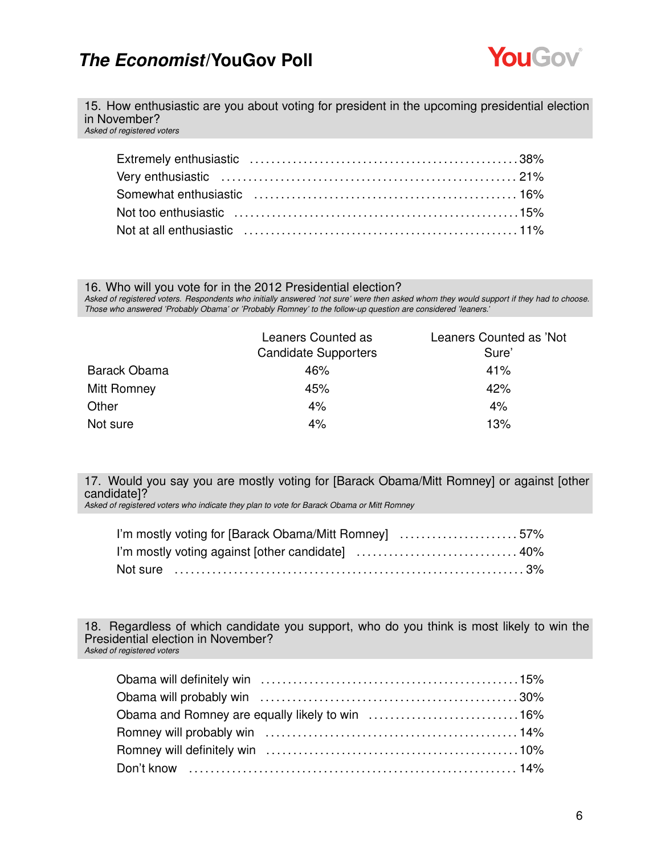

15. How enthusiastic are you about voting for president in the upcoming presidential election in November?

*Asked of registered voters*

#### 16. Who will you vote for in the 2012 Presidential election?

*Asked of registered voters. Respondents who initially answered 'not sure' were then asked whom they would support if they had to choose. Those who answered 'Probably Obama' or 'Probably Romney' to the follow-up question are considered 'leaners.'*

|              | Leaners Counted as<br><b>Candidate Supporters</b> | Leaners Counted as 'Not<br>Sure' |
|--------------|---------------------------------------------------|----------------------------------|
|              |                                                   |                                  |
| Barack Obama | 46%                                               | 41%                              |
| Mitt Romney  | 45%                                               | 42%                              |
| Other        | 4%                                                | 4%                               |
| Not sure     | 4%                                                | 13%                              |

17. Would you say you are mostly voting for [Barack Obama/Mitt Romney] or against [other candidate]?

*Asked of registered voters who indicate they plan to vote for Barack Obama or Mitt Romney*

| I'm mostly voting for [Barack Obama/Mitt Romney] 57% |  |
|------------------------------------------------------|--|
|                                                      |  |
|                                                      |  |

18. Regardless of which candidate you support, who do you think is most likely to win the Presidential election in November? *Asked of registered voters*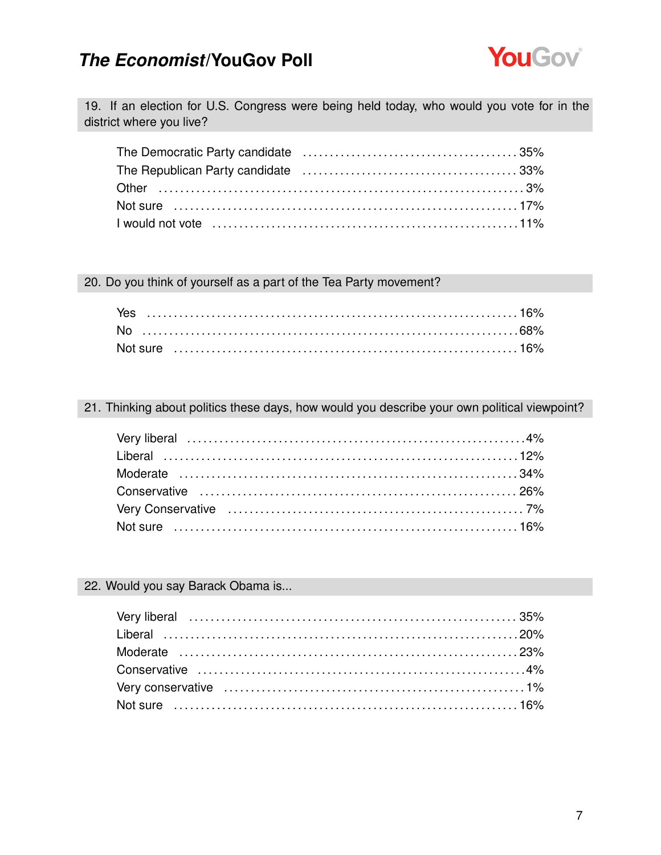

19. If an election for U.S. Congress were being held today, who would you vote for in the district where you live?

#### 20. Do you think of yourself as a part of the Tea Party movement?

#### 21. Thinking about politics these days, how would you describe your own political viewpoint?

#### 22. Would you say Barack Obama is...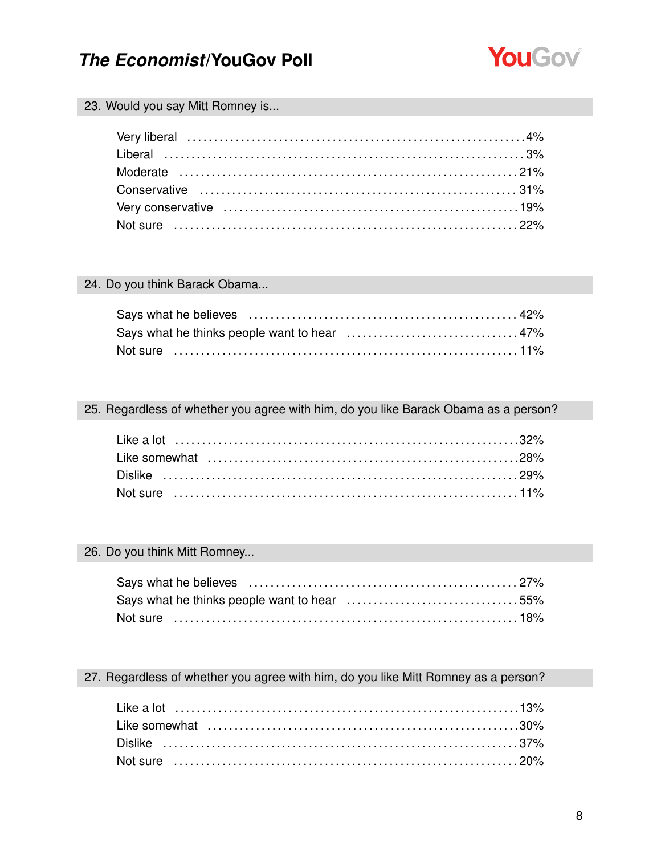

#### 23. Would you say Mitt Romney is...

#### 24. Do you think Barack Obama...

| Not sure ……………………………………………………………………11% |  |
|----------------------------------------|--|

#### 25. Regardless of whether you agree with him, do you like Barack Obama as a person?

#### 26. Do you think Mitt Romney...

| Says what he thinks people want to hear 55% |  |
|---------------------------------------------|--|
| Not sure …………………………………………………………………18%       |  |

#### 27. Regardless of whether you agree with him, do you like Mitt Romney as a person?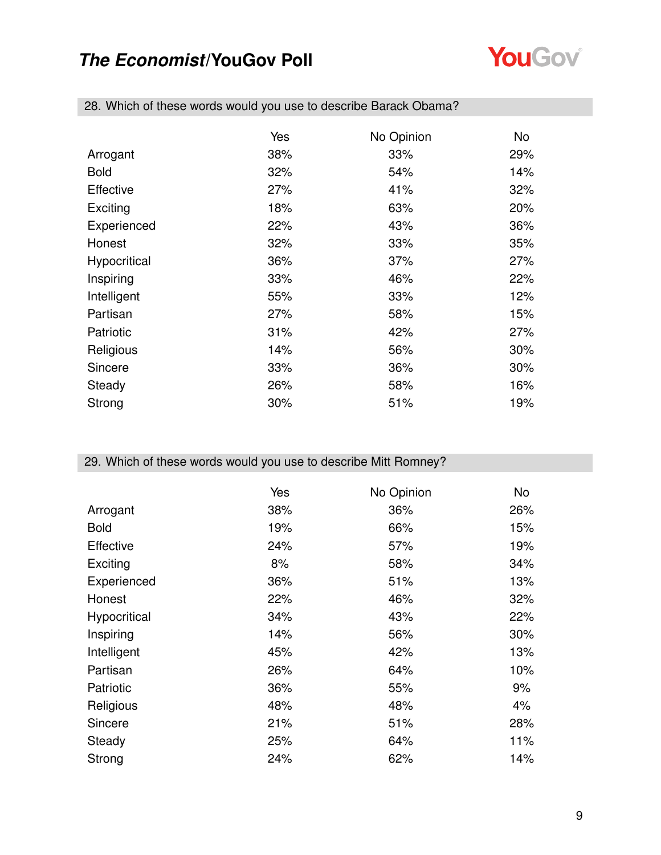

|              | Yes | No Opinion | No  |
|--------------|-----|------------|-----|
| Arrogant     | 38% | 33%        | 29% |
| <b>Bold</b>  | 32% | 54%        | 14% |
| Effective    | 27% | 41%        | 32% |
| Exciting     | 18% | 63%        | 20% |
| Experienced  | 22% | 43%        | 36% |
| Honest       | 32% | 33%        | 35% |
| Hypocritical | 36% | 37%        | 27% |
| Inspiring    | 33% | 46%        | 22% |
| Intelligent  | 55% | 33%        | 12% |
| Partisan     | 27% | 58%        | 15% |
| Patriotic    | 31% | 42%        | 27% |
| Religious    | 14% | 56%        | 30% |
| Sincere      | 33% | 36%        | 30% |
| Steady       | 26% | 58%        | 16% |
| Strong       | 30% | 51%        | 19% |

28. Which of these words would you use to describe Barack Obama?

### 29. Which of these words would you use to describe Mitt Romney?

|              | Yes | No Opinion | No. |
|--------------|-----|------------|-----|
| Arrogant     | 38% | 36%        | 26% |
| <b>Bold</b>  | 19% | 66%        | 15% |
| Effective    | 24% | 57%        | 19% |
| Exciting     | 8%  | 58%        | 34% |
| Experienced  | 36% | 51%        | 13% |
| Honest       | 22% | 46%        | 32% |
| Hypocritical | 34% | 43%        | 22% |
| Inspiring    | 14% | 56%        | 30% |
| Intelligent  | 45% | 42%        | 13% |
| Partisan     | 26% | 64%        | 10% |
| Patriotic    | 36% | 55%        | 9%  |
| Religious    | 48% | 48%        | 4%  |
| Sincere      | 21% | 51%        | 28% |
| Steady       | 25% | 64%        | 11% |
| Strong       | 24% | 62%        | 14% |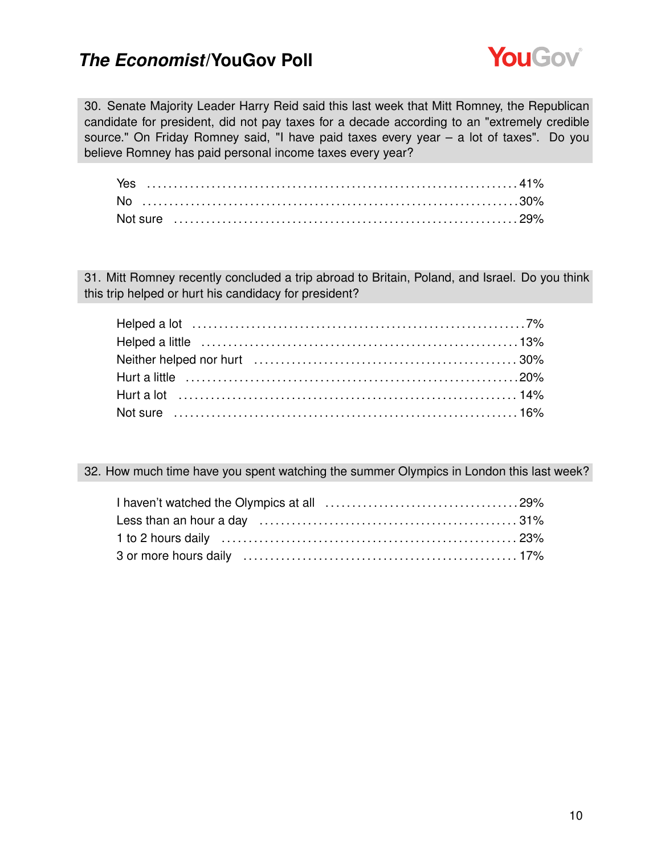

30. Senate Majority Leader Harry Reid said this last week that Mitt Romney, the Republican candidate for president, did not pay taxes for a decade according to an "extremely credible source." On Friday Romney said, "I have paid taxes every year – a lot of taxes". Do you believe Romney has paid personal income taxes every year?

| Yes |  |
|-----|--|
|     |  |
|     |  |

31. Mitt Romney recently concluded a trip abroad to Britain, Poland, and Israel. Do you think this trip helped or hurt his candidacy for president?

32. How much time have you spent watching the summer Olympics in London this last week?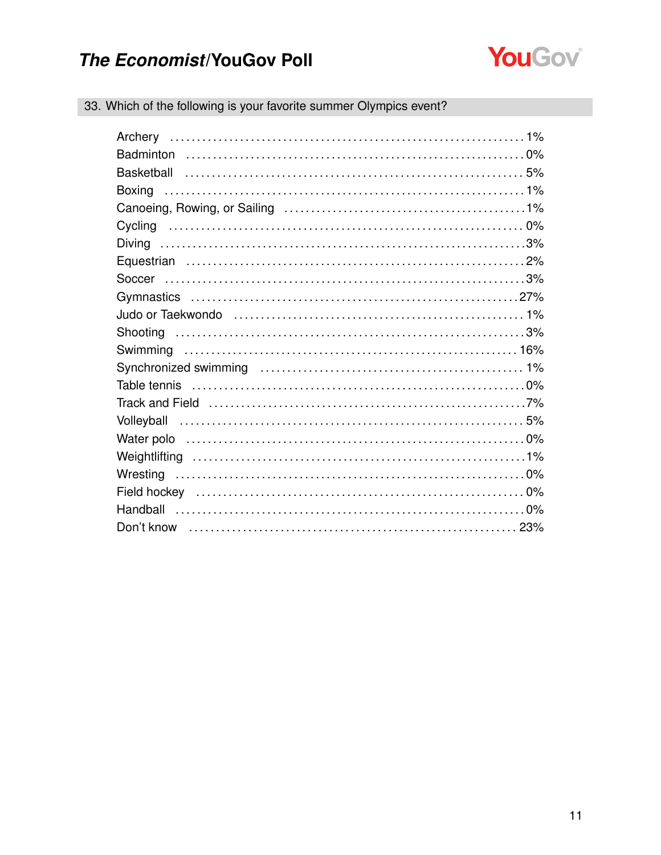

| 33. Which of the following is your favorite summer Olympics event? |  |
|--------------------------------------------------------------------|--|

| Boxing |  |
|--------|--|
|        |  |
|        |  |
|        |  |
|        |  |
|        |  |
|        |  |
|        |  |
|        |  |
|        |  |
|        |  |
|        |  |
|        |  |
|        |  |
|        |  |
|        |  |
|        |  |
|        |  |
|        |  |
|        |  |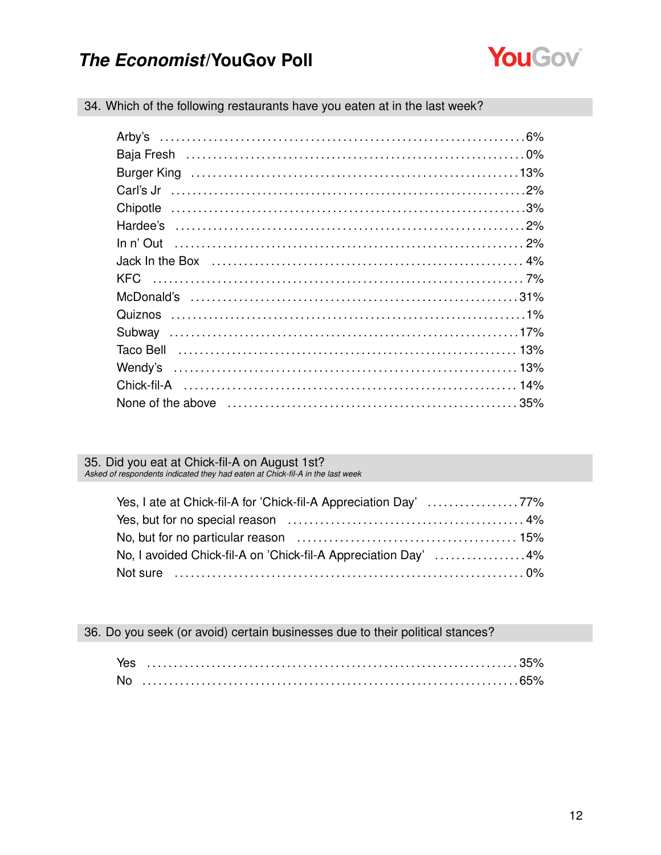

|  | 34. Which of the following restaurants have you eaten at in the last week? |  |  |  |
|--|----------------------------------------------------------------------------|--|--|--|
|  |                                                                            |  |  |  |

# 35. Did you eat at Chick-fil-A on August 1st?<br>Asked of respondents indicated they had eaten at Chick-fil-A in the last week

| Yes, I ate at Chick-fil-A for 'Chick-fil-A Appreciation Day' 77% |  |
|------------------------------------------------------------------|--|
|                                                                  |  |
|                                                                  |  |
| No, I avoided Chick-fil-A on 'Chick-fil-A Appreciation Day' 4%   |  |
|                                                                  |  |

36. Do you seek (or avoid) certain businesses due to their political stances?

| <b>Nc</b> |  |
|-----------|--|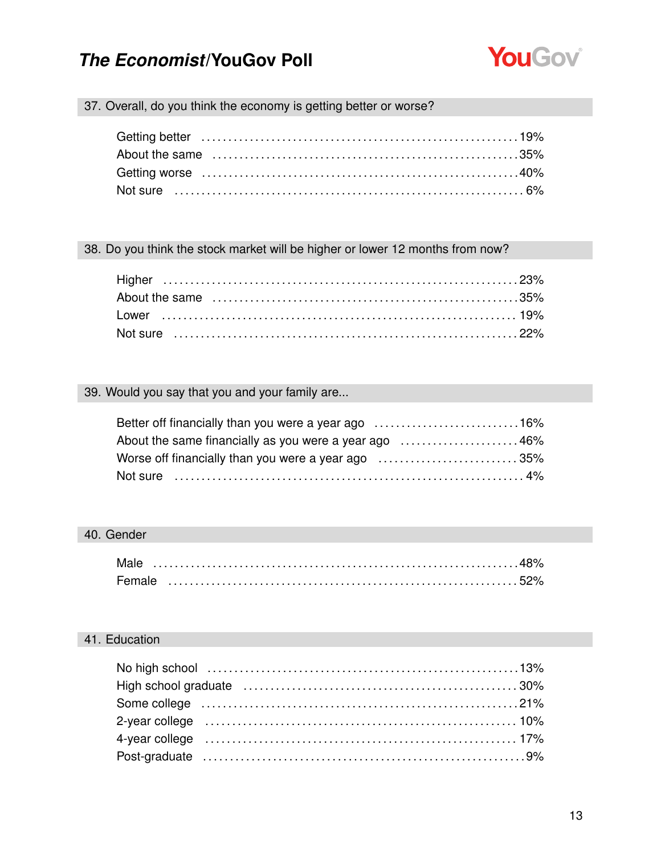

### 37. Overall, do you think the economy is getting better or worse?

#### 38. Do you think the stock market will be higher or lower 12 months from now?

### 39. Would you say that you and your family are...

| Better off financially than you were a year ago 16%   |  |
|-------------------------------------------------------|--|
| About the same financially as you were a year ago 46% |  |
| Worse off financially than you were a year ago 35%    |  |
|                                                       |  |

### 40. Gender

| Male   |  |  |  |  |  |  |  |  |  |  |  |  |
|--------|--|--|--|--|--|--|--|--|--|--|--|--|
| Female |  |  |  |  |  |  |  |  |  |  |  |  |

### 41. Education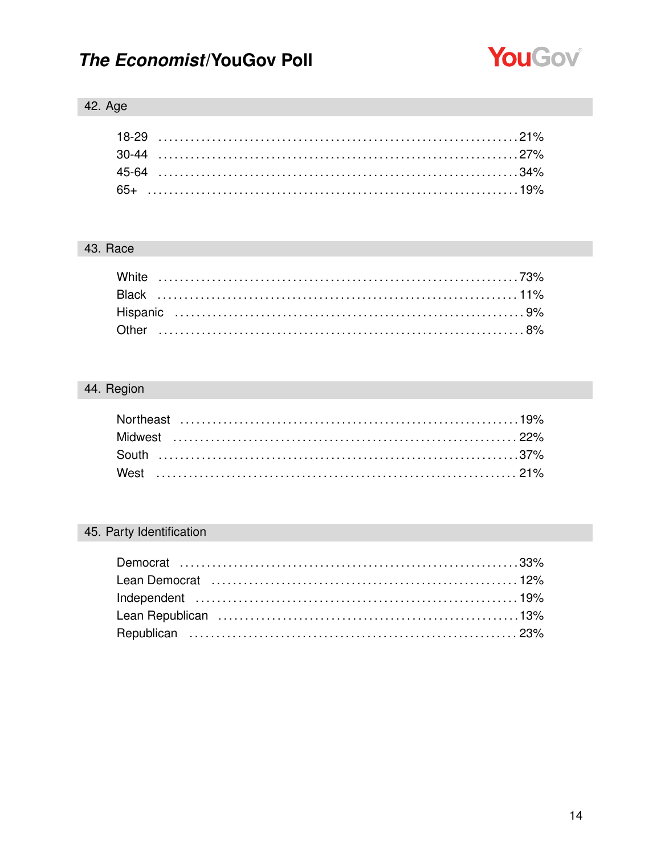

### 42. Age

### 43. Race

### 44. Region

### 45. Party Identification

| Lean Democrat (and the continuum of the canonical contract the canonical text in 12% |  |
|--------------------------------------------------------------------------------------|--|
|                                                                                      |  |
|                                                                                      |  |
|                                                                                      |  |